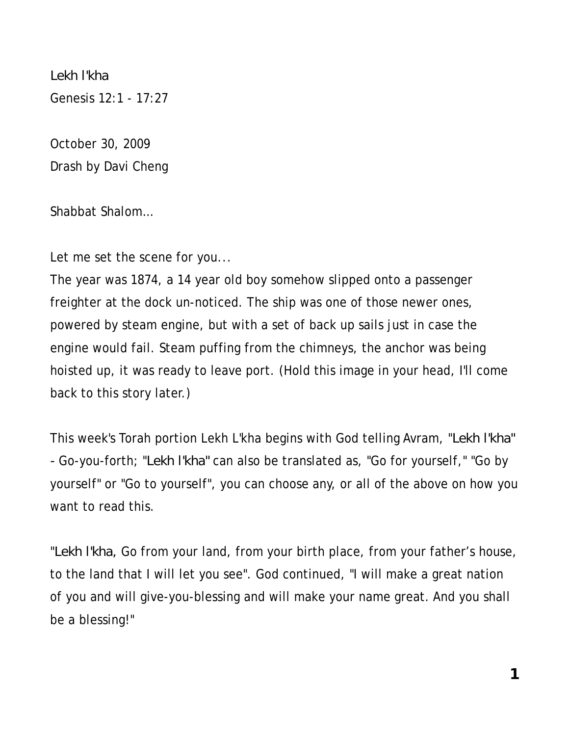*Lekh l'kha*  Genesis 12:1 - 17:27

October 30, 2009 Drash by Davi Cheng

Shabbat Shalom…

Let me set the scene for you...

The year was 1874, a 14 year old boy somehow slipped onto a passenger freighter at the dock un-noticed. The ship was one of those newer ones, powered by steam engine, but with a set of back up sails just in case the engine would fail. Steam puffing from the chimneys, the anchor was being hoisted up, it was ready to leave port. (Hold this image in your head, I'll come back to this story later.)

This week's Torah portion Lekh L'kha begins with God telling Avram, "*Lekh l'kha" -* Go-you-forth; "*Lekh l'kha"* can also be translated as, "Go for yourself," "Go by yourself" or "Go to yourself", you can choose any, or all of the above on how you want to read this.

"*Lekh l'kha,* Go from your land, from your birth place, from your father's house, to the land that I will let you see". God continued, "I will make a great nation of you and will give-you-blessing and will make your name great. And you shall be a blessing!"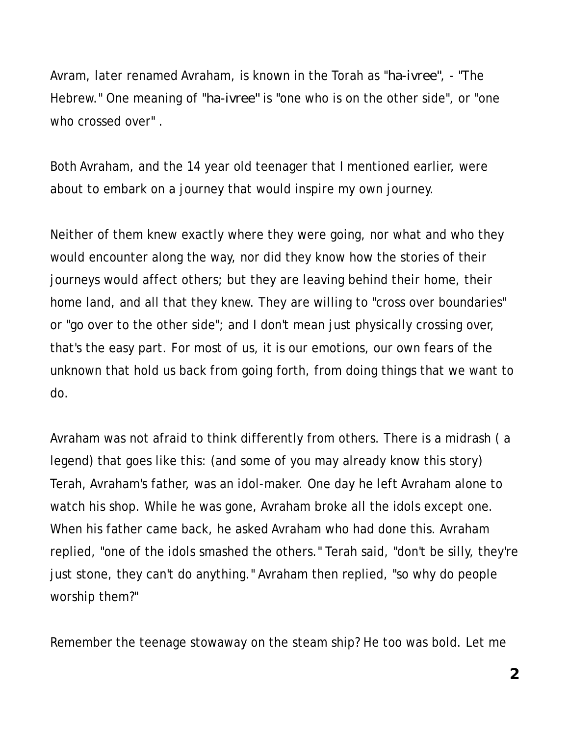Avram, later renamed Avraham, is known in the Torah as "*ha-ivree"*, - "The Hebrew." One meaning of "*ha-ivree"* is "one who is on the other side", or "one who crossed over" .

Both Avraham, and the 14 year old teenager that I mentioned earlier, were about to embark on a journey that would inspire my own journey.

Neither of them knew exactly where they were going, nor what and who they would encounter along the way, nor did they know how the stories of their journeys would affect others; but they are leaving behind their home, their home land, and all that they knew. They are willing to "cross over boundaries" or "go over to the other side"; and I don't mean just physically crossing over, that's the easy part. For most of us, it is our emotions, our own fears of the unknown that hold us back from going forth, from doing things that we want to do.

Avraham was not afraid to think differently from others. There is a midrash ( a legend) that goes like this: (and some of you may already know this story) Terah, Avraham's father, was an idol-maker. One day he left Avraham alone to watch his shop. While he was gone, Avraham broke all the idols except one. When his father came back, he asked Avraham who had done this. Avraham replied, "one of the idols smashed the others." Terah said, "don't be silly, they're just stone, they can't do anything." Avraham then replied, "so why do people worship them?"

Remember the teenage stowaway on the steam ship? He too was bold. Let me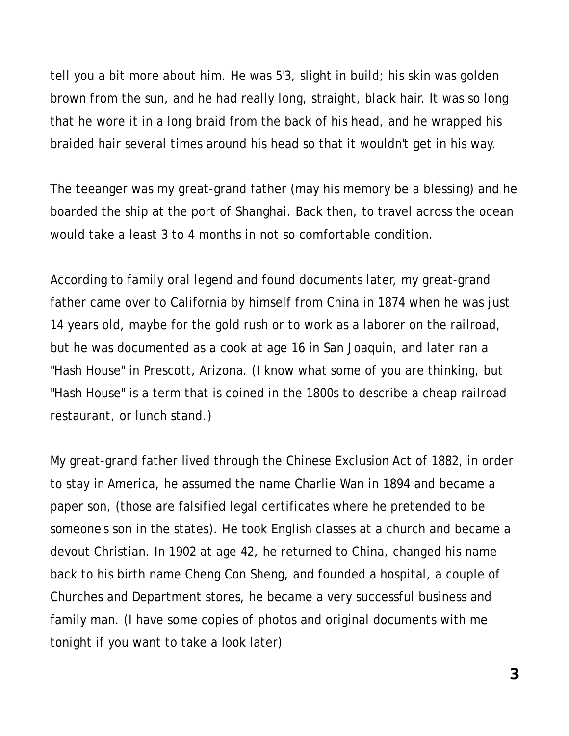tell you a bit more about him. He was 5'3, slight in build; his skin was golden brown from the sun, and he had really long, straight, black hair. It was so long that he wore it in a long braid from the back of his head, and he wrapped his braided hair several times around his head so that it wouldn't get in his way.

The teeanger was my great-grand father (may his memory be a blessing) and he boarded the ship at the port of Shanghai. Back then, to travel across the ocean would take a least 3 to 4 months in not so comfortable condition.

According to family oral legend and found documents later, my great-grand father came over to California by himself from China in 1874 when he was just 14 years old, maybe for the gold rush or to work as a laborer on the railroad, but he was documented as a cook at age 16 in San Joaquin, and later ran a "Hash House" in Prescott, Arizona. (I know what some of you are thinking, but "Hash House" is a term that is coined in the 1800s to describe a cheap railroad restaurant, or lunch stand.)

My great-grand father lived through the Chinese Exclusion Act of 1882, in order to stay in America, he assumed the name Charlie Wan in 1894 and became a paper son, (those are falsified legal certificates where he pretended to be someone's son in the states). He took English classes at a church and became a devout Christian. In 1902 at age 42, he returned to China, changed his name back to his birth name Cheng Con Sheng, and founded a hospital, a couple of Churches and Department stores, he became a very successful business and family man. (I have some copies of photos and original documents with me tonight if you want to take a look later)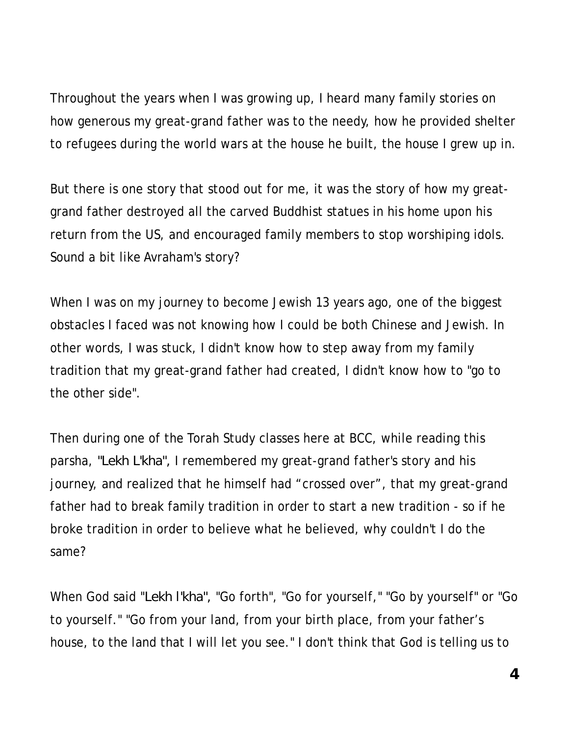Throughout the years when I was growing up, I heard many family stories on how generous my great-grand father was to the needy, how he provided shelter to refugees during the world wars at the house he built, the house I grew up in.

But there is one story that stood out for me, it was the story of how my greatgrand father destroyed all the carved Buddhist statues in his home upon his return from the US, and encouraged family members to stop worshiping idols. Sound a bit like Avraham's story?

When I was on my journey to become Jewish 13 years ago, one of the biggest obstacles I faced was not knowing how I could be both Chinese and Jewish. In other words, I was stuck, I didn't know how to step away from my family tradition that my great-grand father had created, I didn't know how to "go to the other side".

Then during one of the Torah Study classes here at BCC, while reading this parsha, *"Lekh L'kha",* I remembered my great-grand father's story and his journey, and realized that he himself had "crossed over", that my great-grand father had to break family tradition in order to start a new tradition - so if he broke tradition in order to believe what he believed, why couldn't I do the same?

When God said "*Lekh l'kha",* "Go forth", "Go for yourself," "Go by yourself" or "Go to yourself." "Go from your land, from your birth place, from your father's house, to the land that I will let you see." I don't think that God is telling us to